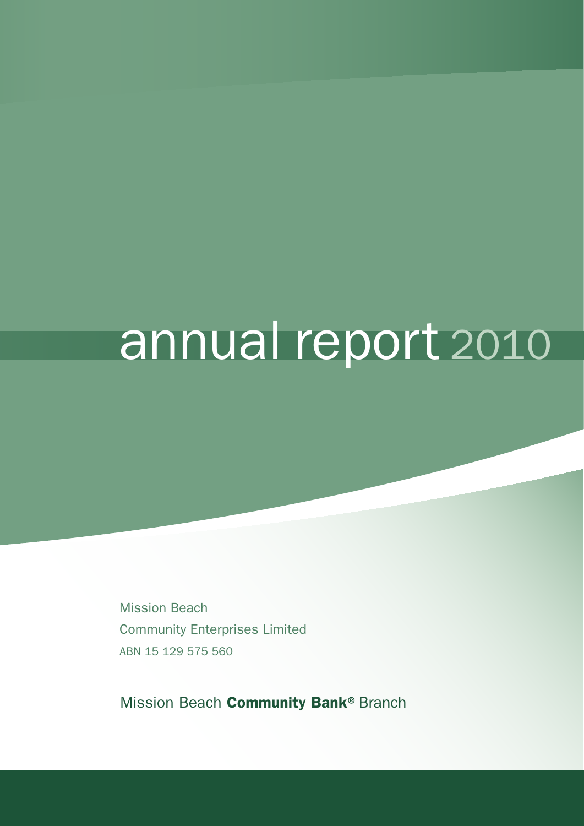# annual report 2010

Mission Beach Community Enterprises Limited ABN 15 129 575 560

Mission Beach Community Bank® Branch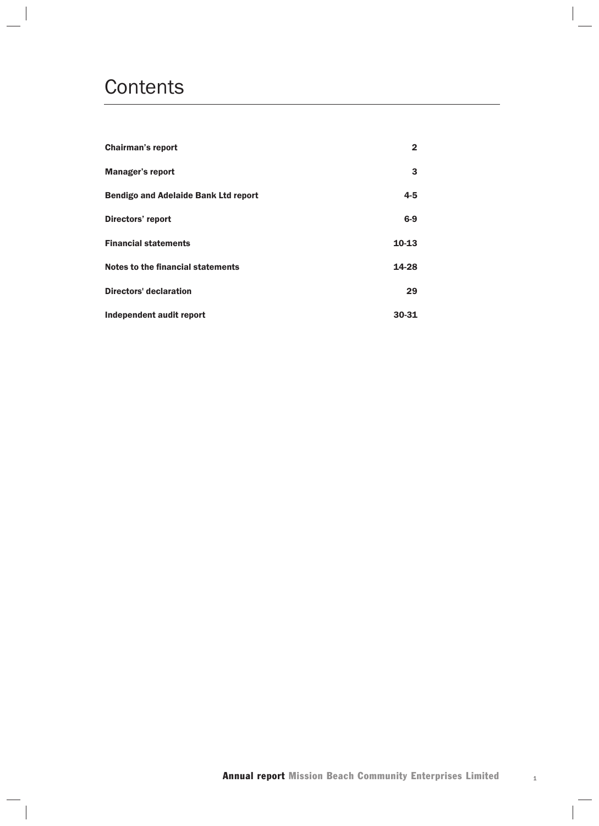## **Contents**

| <b>Chairman's report</b>                    | 2         |
|---------------------------------------------|-----------|
| <b>Manager's report</b>                     | 3         |
| <b>Bendigo and Adelaide Bank Ltd report</b> | $4 - 5$   |
| Directors' report                           | $6-9$     |
| <b>Financial statements</b>                 | $10 - 13$ |
| Notes to the financial statements           | 14-28     |
| <b>Directors' declaration</b>               | 29        |
| Independent audit report                    | 30-31     |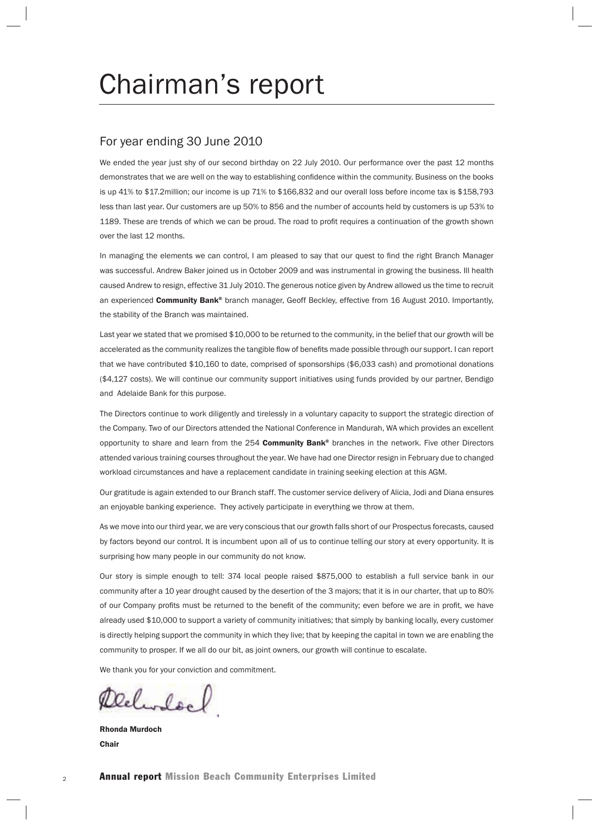## Chairman's report

#### For year ending 30 June 2010

We ended the year just shy of our second birthday on 22 July 2010. Our performance over the past 12 months demonstrates that we are well on the way to establishing confidence within the community. Business on the books is up 41% to \$17.2million; our income is up 71% to \$166,832 and our overall loss before income tax is \$158,793 less than last year. Our customers are up 50% to 856 and the number of accounts held by customers is up 53% to 1189. These are trends of which we can be proud. The road to profit requires a continuation of the growth shown over the last 12 months.

In managing the elements we can control, I am pleased to say that our quest to find the right Branch Manager was successful. Andrew Baker joined us in October 2009 and was instrumental in growing the business. Ill health caused Andrew to resign, effective 31 July 2010. The generous notice given by Andrew allowed us the time to recruit an experienced **Community Bank®** branch manager, Geoff Beckley, effective from 16 August 2010. Importantly, the stability of the Branch was maintained.

Last year we stated that we promised \$10,000 to be returned to the community, in the belief that our growth will be accelerated as the community realizes the tangible flow of benefits made possible through our support. I can report that we have contributed \$10,160 to date, comprised of sponsorships (\$6,033 cash) and promotional donations (\$4,127 costs). We will continue our community support initiatives using funds provided by our partner, Bendigo and Adelaide Bank for this purpose.

The Directors continue to work diligently and tirelessly in a voluntary capacity to support the strategic direction of the Company. Two of our Directors attended the National Conference in Mandurah, WA which provides an excellent opportunity to share and learn from the 254 Community Bank® branches in the network. Five other Directors attended various training courses throughout the year. We have had one Director resign in February due to changed workload circumstances and have a replacement candidate in training seeking election at this AGM.

Our gratitude is again extended to our Branch staff. The customer service delivery of Alicia, Jodi and Diana ensures an enjoyable banking experience. They actively participate in everything we throw at them.

As we move into our third year, we are very conscious that our growth falls short of our Prospectus forecasts, caused by factors beyond our control. It is incumbent upon all of us to continue telling our story at every opportunity. It is surprising how many people in our community do not know.

Our story is simple enough to tell: 374 local people raised \$875,000 to establish a full service bank in our community after a 10 year drought caused by the desertion of the 3 majors; that it is in our charter, that up to 80% of our Company profits must be returned to the benefit of the community; even before we are in profit, we have already used \$10,000 to support a variety of community initiatives; that simply by banking locally, every customer is directly helping support the community in which they live; that by keeping the capital in town we are enabling the community to prosper. If we all do our bit, as joint owners, our growth will continue to escalate.

We thank you for your conviction and commitment.

Relivered

Rhonda Murdoch **Chair**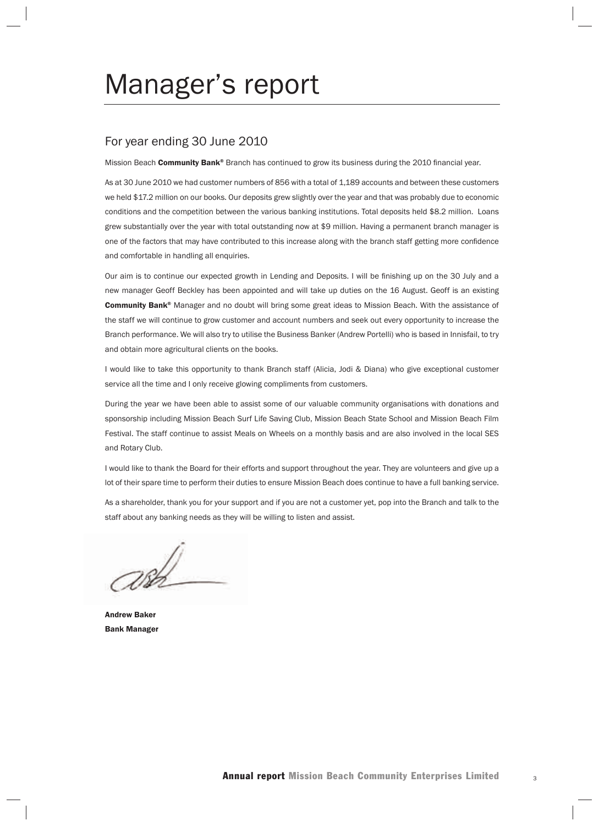## Manager's report

#### For year ending 30 June 2010

Mission Beach Community Bank® Branch has continued to grow its business during the 2010 financial year.

As at 30 June 2010 we had customer numbers of 856 with a total of 1,189 accounts and between these customers we held \$17.2 million on our books. Our deposits grew slightly over the year and that was probably due to economic conditions and the competition between the various banking institutions. Total deposits held \$8.2 million. Loans grew substantially over the year with total outstanding now at \$9 million. Having a permanent branch manager is one of the factors that may have contributed to this increase along with the branch staff getting more confidence and comfortable in handling all enquiries.

Our aim is to continue our expected growth in Lending and Deposits. I will be finishing up on the 30 July and a new manager Geoff Beckley has been appointed and will take up duties on the 16 August. Geoff is an existing Community Bank® Manager and no doubt will bring some great ideas to Mission Beach. With the assistance of the staff we will continue to grow customer and account numbers and seek out every opportunity to increase the Branch performance. We will also try to utilise the Business Banker (Andrew Portelli) who is based in Innisfail, to try and obtain more agricultural clients on the books.

I would like to take this opportunity to thank Branch staff (Alicia, Jodi & Diana) who give exceptional customer service all the time and I only receive glowing compliments from customers.

During the year we have been able to assist some of our valuable community organisations with donations and sponsorship including Mission Beach Surf Life Saving Club, Mission Beach State School and Mission Beach Film Festival. The staff continue to assist Meals on Wheels on a monthly basis and are also involved in the local SES and Rotary Club.

I would like to thank the Board for their efforts and support throughout the year. They are volunteers and give up a lot of their spare time to perform their duties to ensure Mission Beach does continue to have a full banking service.

As a shareholder, thank you for your support and if you are not a customer yet, pop into the Branch and talk to the staff about any banking needs as they will be willing to listen and assist.

 $786$ 

Andrew Baker Bank Manager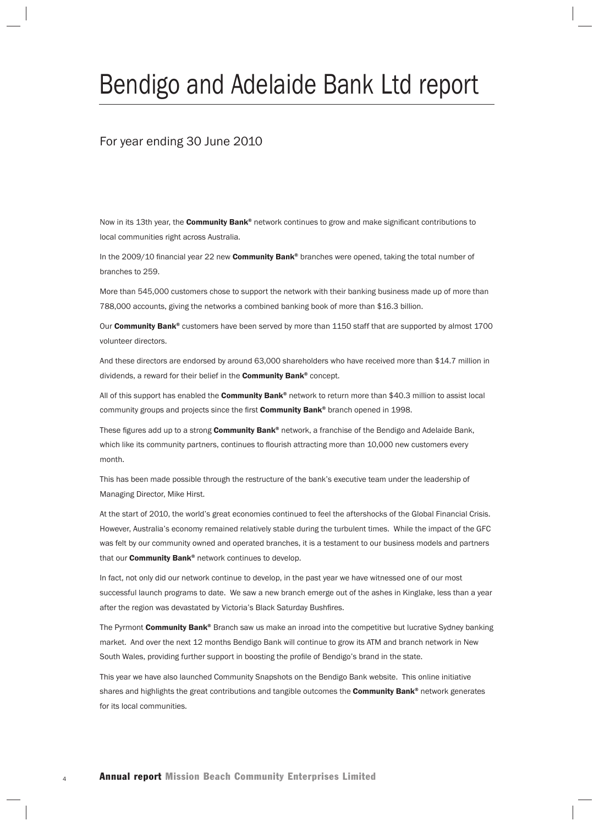## Bendigo and Adelaide Bank Ltd report

#### For year ending 30 June 2010

Now in its 13th year, the **Community Bank®** network continues to grow and make significant contributions to local communities right across Australia.

In the 2009/10 financial year 22 new Community Bank® branches were opened, taking the total number of branches to 259.

More than 545,000 customers chose to support the network with their banking business made up of more than 788,000 accounts, giving the networks a combined banking book of more than \$16.3 billion.

Our Community Bank® customers have been served by more than 1150 staff that are supported by almost 1700 volunteer directors.

And these directors are endorsed by around 63,000 shareholders who have received more than \$14.7 million in dividends, a reward for their belief in the **Community Bank®** concept.

All of this support has enabled the **Community Bank®** network to return more than \$40.3 million to assist local community groups and projects since the first Community Bank® branch opened in 1998.

These figures add up to a strong Community Bank® network, a franchise of the Bendigo and Adelaide Bank, which like its community partners, continues to flourish attracting more than 10,000 new customers every month.

This has been made possible through the restructure of the bank's executive team under the leadership of Managing Director, Mike Hirst.

At the start of 2010, the world's great economies continued to feel the aftershocks of the Global Financial Crisis. However, Australia's economy remained relatively stable during the turbulent times. While the impact of the GFC was felt by our community owned and operated branches, it is a testament to our business models and partners that our **Community Bank®** network continues to develop.

In fact, not only did our network continue to develop, in the past year we have witnessed one of our most successful launch programs to date. We saw a new branch emerge out of the ashes in Kinglake, less than a year after the region was devastated by Victoria's Black Saturday Bushfires.

The Pyrmont Community Bank® Branch saw us make an inroad into the competitive but lucrative Sydney banking market. And over the next 12 months Bendigo Bank will continue to grow its ATM and branch network in New South Wales, providing further support in boosting the profile of Bendigo's brand in the state.

This year we have also launched Community Snapshots on the Bendigo Bank website. This online initiative shares and highlights the great contributions and tangible outcomes the Community Bank® network generates for its local communities.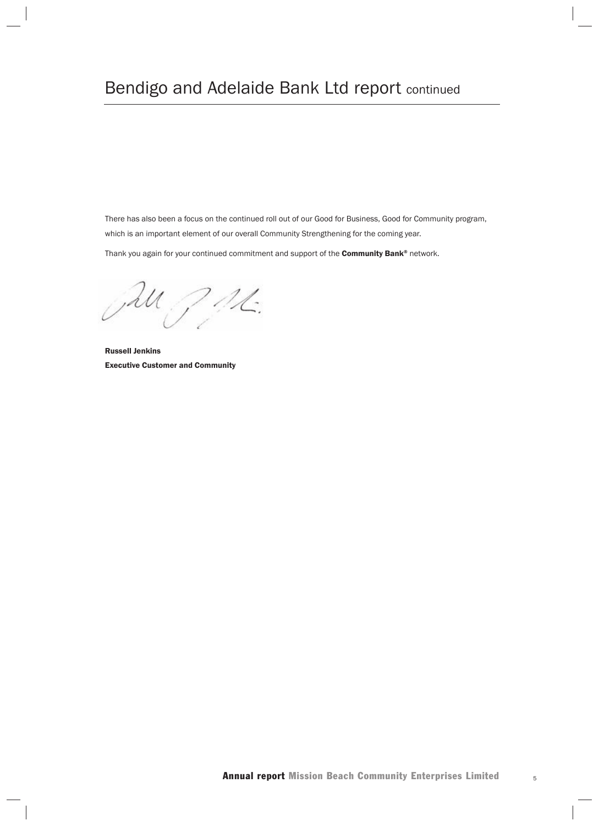### Bendigo and Adelaide Bank Ltd report continued

There has also been a focus on the continued roll out of our Good for Business, Good for Community program, which is an important element of our overall Community Strengthening for the coming year.

Thank you again for your continued commitment and support of the **Community Bank®** network.

JAU JAL.

Russell Jenkins Executive Customer and Community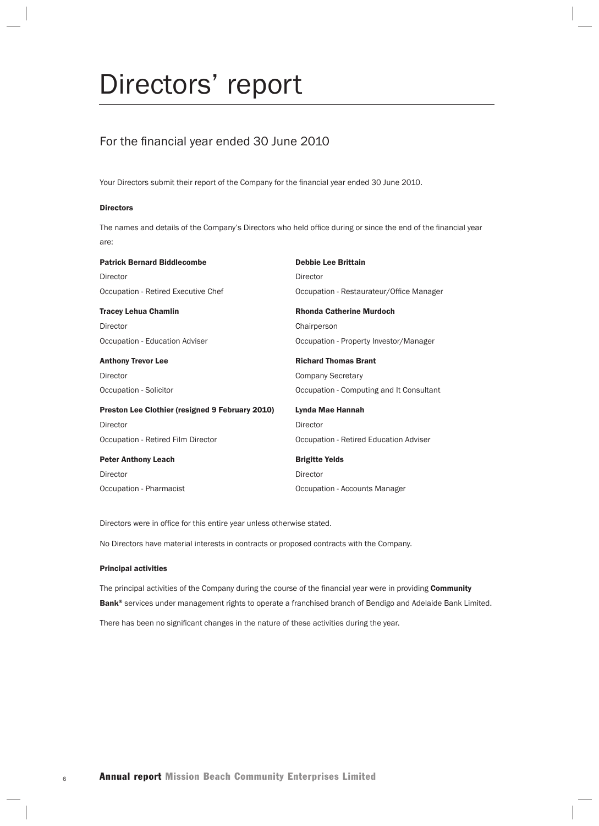## Directors' report

#### For the financial year ended 30 June 2010

Your Directors submit their report of the Company for the financial year ended 30 June 2010.

#### Directors

The names and details of the Company's Directors who held office during or since the end of the financial year are:

| <b>Patrick Bernard Biddlecombe</b>                     | <b>Debbie Lee Brittain</b>               |
|--------------------------------------------------------|------------------------------------------|
| Director                                               | Director                                 |
| Occupation - Retired Executive Chef                    | Occupation - Restaurateur/Office Manager |
| <b>Tracey Lehua Chamlin</b>                            | <b>Rhonda Catherine Murdoch</b>          |
| Director                                               | Chairperson                              |
| Occupation - Education Adviser                         | Occupation - Property Investor/Manager   |
| <b>Anthony Trevor Lee</b>                              | <b>Richard Thomas Brant</b>              |
| Director                                               | <b>Company Secretary</b>                 |
| Occupation - Solicitor                                 | Occupation - Computing and It Consultant |
| <b>Preston Lee Clothier (resigned 9 February 2010)</b> | Lynda Mae Hannah                         |
| Director                                               | Director                                 |
| Occupation - Retired Film Director                     | Occupation - Retired Education Adviser   |
| <b>Peter Anthony Leach</b>                             | <b>Brigitte Yelds</b>                    |
| Director                                               | Director                                 |
| Occupation - Pharmacist                                | Occupation - Accounts Manager            |

Directors were in office for this entire year unless otherwise stated.

No Directors have material interests in contracts or proposed contracts with the Company.

#### Principal activities

The principal activities of the Company during the course of the financial year were in providing Community Bank® services under management rights to operate a franchised branch of Bendigo and Adelaide Bank Limited. There has been no significant changes in the nature of these activities during the year.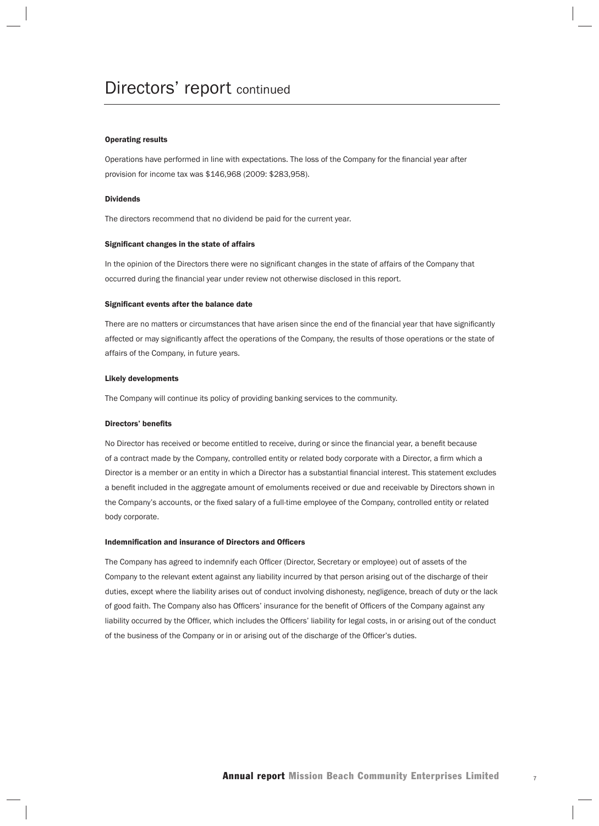#### Operating results

Operations have performed in line with expectations. The loss of the Company for the financial year after provision for income tax was \$146,968 (2009: \$283,958).

#### Dividends

The directors recommend that no dividend be paid for the current year.

#### Significant changes in the state of affairs

In the opinion of the Directors there were no significant changes in the state of affairs of the Company that occurred during the financial year under review not otherwise disclosed in this report.

#### Significant events after the balance date

There are no matters or circumstances that have arisen since the end of the financial year that have significantly affected or may significantly affect the operations of the Company, the results of those operations or the state of affairs of the Company, in future years.

#### Likely developments

The Company will continue its policy of providing banking services to the community.

#### Directors' benefits

No Director has received or become entitled to receive, during or since the financial year, a benefit because of a contract made by the Company, controlled entity or related body corporate with a Director, a firm which a Director is a member or an entity in which a Director has a substantial financial interest. This statement excludes a benefit included in the aggregate amount of emoluments received or due and receivable by Directors shown in the Company's accounts, or the fixed salary of a full-time employee of the Company, controlled entity or related body corporate.

#### Indemnification and insurance of Directors and Officers

The Company has agreed to indemnify each Officer (Director, Secretary or employee) out of assets of the Company to the relevant extent against any liability incurred by that person arising out of the discharge of their duties, except where the liability arises out of conduct involving dishonesty, negligence, breach of duty or the lack of good faith. The Company also has Officers' insurance for the benefit of Officers of the Company against any liability occurred by the Officer, which includes the Officers' liability for legal costs, in or arising out of the conduct of the business of the Company or in or arising out of the discharge of the Officer's duties.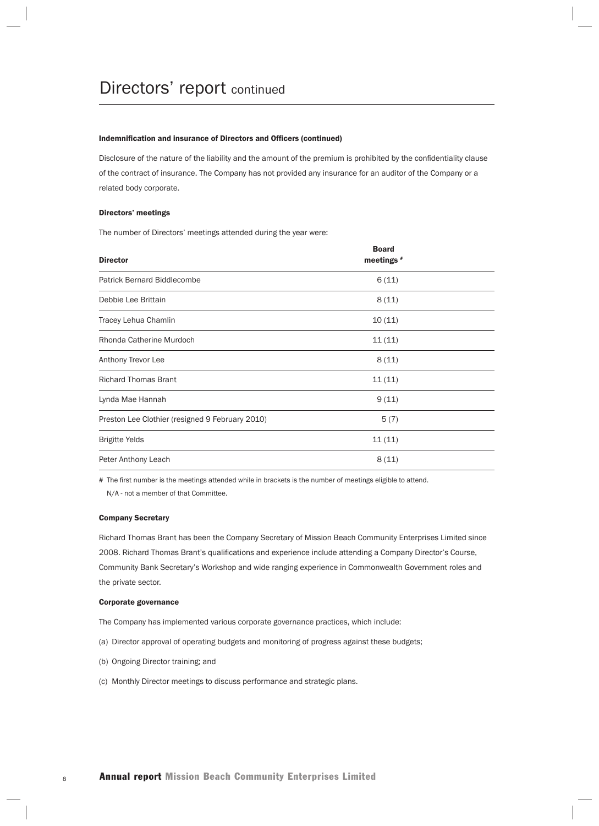#### Indemnification and insurance of Directors and Officers (continued)

Disclosure of the nature of the liability and the amount of the premium is prohibited by the confidentiality clause of the contract of insurance. The Company has not provided any insurance for an auditor of the Company or a related body corporate.

#### Directors' meetings

The number of Directors' meetings attended during the year were:

| <b>Director</b>                                 | <b>Board</b><br>meetings # |  |
|-------------------------------------------------|----------------------------|--|
| <b>Patrick Bernard Biddlecombe</b>              | 6(11)                      |  |
| Debbie Lee Brittain                             | 8(11)                      |  |
| Tracey Lehua Chamlin                            | 10(11)                     |  |
| Rhonda Catherine Murdoch                        | 11(11)                     |  |
| Anthony Trevor Lee                              | 8(11)                      |  |
| <b>Richard Thomas Brant</b>                     | 11(11)                     |  |
| Lynda Mae Hannah                                | 9(11)                      |  |
| Preston Lee Clothier (resigned 9 February 2010) | 5(7)                       |  |
| <b>Brigitte Yelds</b>                           | 11(11)                     |  |
| Peter Anthony Leach                             | 8(11)                      |  |

# The first number is the meetings attended while in brackets is the number of meetings eligible to attend. N/A - not a member of that Committee.

#### Company Secretary

Richard Thomas Brant has been the Company Secretary of Mission Beach Community Enterprises Limited since 2008. Richard Thomas Brant's qualifications and experience include attending a Company Director's Course, Community Bank Secretary's Workshop and wide ranging experience in Commonwealth Government roles and the private sector.

#### Corporate governance

The Company has implemented various corporate governance practices, which include:

- (a) Director approval of operating budgets and monitoring of progress against these budgets;
- (b) Ongoing Director training; and
- (c) Monthly Director meetings to discuss performance and strategic plans.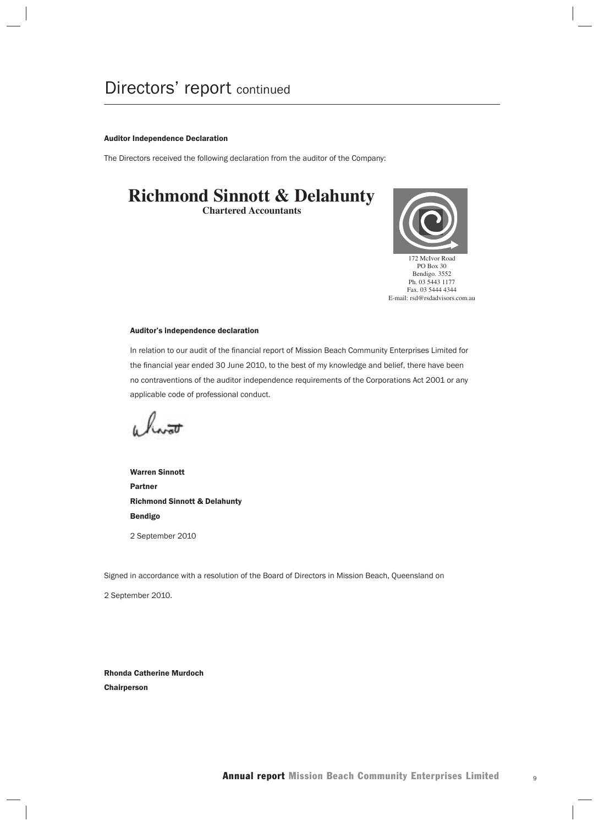#### Auditor Independence Declaration

The Directors received the following declaration from the auditor of the Company:

## **Richmond Sinnott & Delahunty**

**Chartered Accountants**



#### Auditor's independence declaration

In relation to our audit of the financial report of Mission Beach Community Enterprises Limited for the financial year ended 30 June 2010, to the best of my knowledge and belief, there have been no contraventions of the auditor independence requirements of the Corporations Act 2001 or any applicable code of professional conduct.

hw<del>at</del>

Warren Sinnott Partner Richmond Sinnott & Delahunty Bendigo 2 September 2010

Signed in accordance with a resolution of the Board of Directors in Mission Beach, Queensland on

2 September 2010.

Rhonda Catherine Murdoch **Chairperson**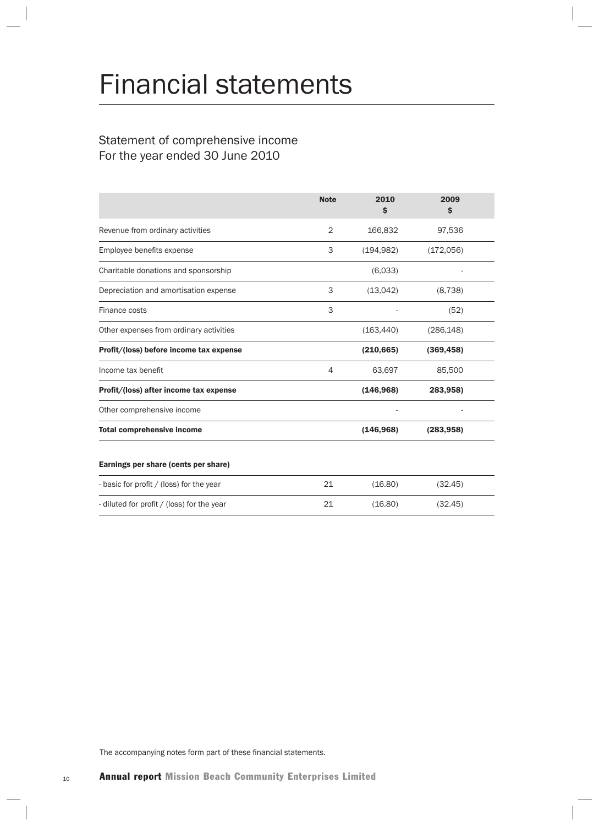## Financial statements

#### Statement of comprehensive income For the year ended 30 June 2010

|                                            | <b>Note</b> | 2010<br>S  | 2009<br>$\mathsf{s}$ |  |
|--------------------------------------------|-------------|------------|----------------------|--|
| Revenue from ordinary activities           | 2           | 166,832    | 97,536               |  |
| Employee benefits expense                  | 3           | (194, 982) | (172,056)            |  |
| Charitable donations and sponsorship       |             | (6,033)    |                      |  |
| Depreciation and amortisation expense      | 3           | (13,042)   | (8, 738)             |  |
| Finance costs                              | 3           |            | (52)                 |  |
| Other expenses from ordinary activities    |             | (163, 440) | (286, 148)           |  |
| Profit/(loss) before income tax expense    |             | (210, 665) | (369, 458)           |  |
| Income tax benefit                         | 4           | 63,697     | 85,500               |  |
| Profit/(loss) after income tax expense     |             | (146, 968) | 283,958)             |  |
| Other comprehensive income                 |             |            |                      |  |
| <b>Total comprehensive income</b>          |             | (146, 968) | (283, 958)           |  |
| Earnings per share (cents per share)       |             |            |                      |  |
| - basic for profit / (loss) for the year   | 21          | (16.80)    | (32.45)              |  |
| - diluted for profit / (loss) for the year | 21          | (16.80)    | (32.45)              |  |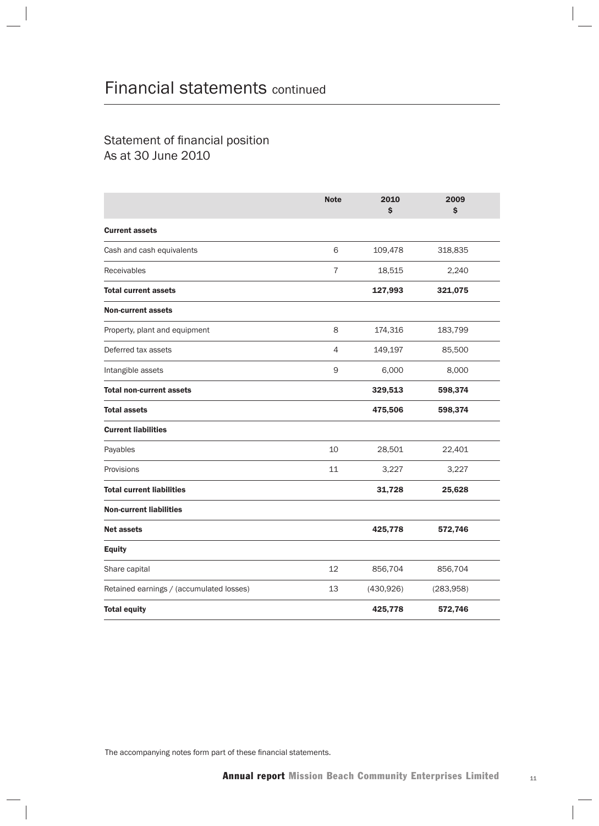#### Statement of financial position As at 30 June 2010

|                                          | <b>Note</b>    | 2010<br>\$ | 2009<br>\$ |
|------------------------------------------|----------------|------------|------------|
| <b>Current assets</b>                    |                |            |            |
| Cash and cash equivalents                | 6              | 109,478    | 318,835    |
| Receivables                              | $\overline{7}$ | 18,515     | 2,240      |
| <b>Total current assets</b>              |                | 127,993    | 321,075    |
| <b>Non-current assets</b>                |                |            |            |
| Property, plant and equipment            | 8              | 174,316    | 183,799    |
| Deferred tax assets                      | $\overline{4}$ | 149,197    | 85,500     |
| Intangible assets                        | 9              | 6,000      | 8,000      |
| <b>Total non-current assets</b>          |                | 329,513    | 598,374    |
| <b>Total assets</b>                      |                | 475,506    | 598,374    |
| <b>Current liabilities</b>               |                |            |            |
| Payables                                 | 10             | 28,501     | 22,401     |
| Provisions                               | 11             | 3,227      | 3,227      |
| <b>Total current liabilities</b>         |                | 31,728     | 25,628     |
| <b>Non-current liabilities</b>           |                |            |            |
| <b>Net assets</b>                        |                | 425,778    | 572,746    |
| <b>Equity</b>                            |                |            |            |
| Share capital                            | 12             | 856,704    | 856,704    |
| Retained earnings / (accumulated losses) | 13             | (430, 926) | (283,958)  |
| <b>Total equity</b>                      |                | 425,778    | 572,746    |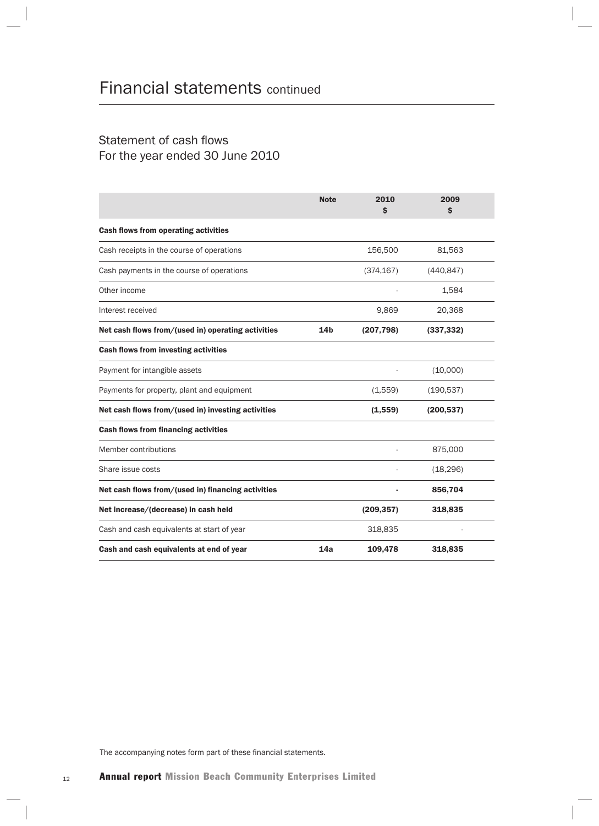#### Statement of cash flows For the year ended 30 June 2010

|                                                    | <b>Note</b>     | 2010<br>\$ | 2009<br>$\mathsf{\$}$ |
|----------------------------------------------------|-----------------|------------|-----------------------|
| <b>Cash flows from operating activities</b>        |                 |            |                       |
| Cash receipts in the course of operations          |                 | 156,500    | 81,563                |
| Cash payments in the course of operations          |                 | (374, 167) | (440, 847)            |
| Other income                                       |                 |            | 1,584                 |
| Interest received                                  |                 | 9,869      | 20,368                |
| Net cash flows from/(used in) operating activities | 14 <sub>b</sub> | (207, 798) | (337, 332)            |
| <b>Cash flows from investing activities</b>        |                 |            |                       |
| Payment for intangible assets                      |                 |            | (10,000)              |
| Payments for property, plant and equipment         |                 | (1,559)    | (190, 537)            |
| Net cash flows from/(used in) investing activities |                 | (1,559)    | (200, 537)            |
| <b>Cash flows from financing activities</b>        |                 |            |                       |
| Member contributions                               |                 |            | 875,000               |
| Share issue costs                                  |                 |            | (18, 296)             |
| Net cash flows from/(used in) financing activities |                 |            | 856,704               |
| Net increase/(decrease) in cash held               |                 | (209, 357) | 318,835               |
| Cash and cash equivalents at start of year         |                 | 318,835    |                       |
| Cash and cash equivalents at end of year           | 14a             | 109,478    | 318,835               |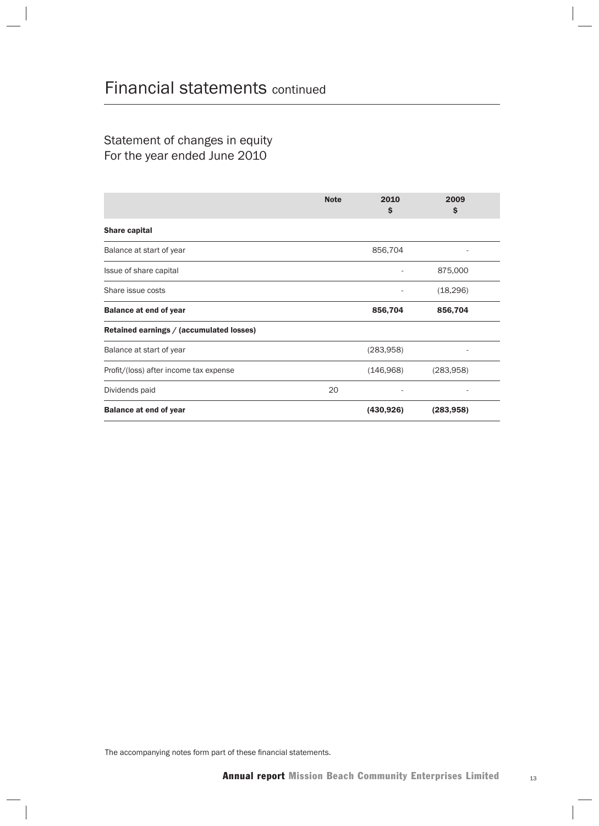Statement of changes in equity For the year ended June 2010

|                                          | <b>Note</b> | 2010<br>\$ | 2009<br>\$ |  |
|------------------------------------------|-------------|------------|------------|--|
| <b>Share capital</b>                     |             |            |            |  |
| Balance at start of year                 |             | 856,704    |            |  |
| Issue of share capital                   |             |            | 875,000    |  |
| Share issue costs                        |             |            | (18, 296)  |  |
| <b>Balance at end of year</b>            |             | 856,704    | 856,704    |  |
| Retained earnings / (accumulated losses) |             |            |            |  |
| Balance at start of year                 |             | (283,958)  |            |  |
| Profit/(loss) after income tax expense   |             | (146,968)  | (283,958)  |  |
| Dividends paid                           | 20          |            |            |  |
| <b>Balance at end of year</b>            |             | (430, 926) | (283, 958) |  |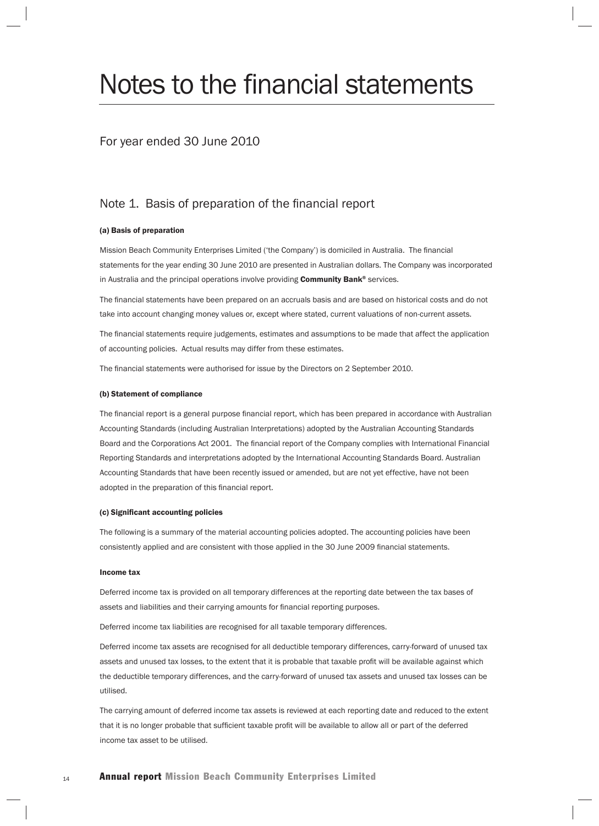## Notes to the financial statements

#### For year ended 30 June 2010

#### Note 1. Basis of preparation of the financial report

#### (a) Basis of preparation

Mission Beach Community Enterprises Limited ('the Company') is domiciled in Australia. The financial statements for the year ending 30 June 2010 are presented in Australian dollars. The Company was incorporated in Australia and the principal operations involve providing Community Bank® services.

The financial statements have been prepared on an accruals basis and are based on historical costs and do not take into account changing money values or, except where stated, current valuations of non-current assets.

The financial statements require judgements, estimates and assumptions to be made that affect the application of accounting policies. Actual results may differ from these estimates.

The financial statements were authorised for issue by the Directors on 2 September 2010.

#### (b) Statement of compliance

The financial report is a general purpose financial report, which has been prepared in accordance with Australian Accounting Standards (including Australian Interpretations) adopted by the Australian Accounting Standards Board and the Corporations Act 2001. The financial report of the Company complies with International Financial Reporting Standards and interpretations adopted by the International Accounting Standards Board. Australian Accounting Standards that have been recently issued or amended, but are not yet effective, have not been adopted in the preparation of this financial report.

#### (c) Significant accounting policies

The following is a summary of the material accounting policies adopted. The accounting policies have been consistently applied and are consistent with those applied in the 30 June 2009 financial statements.

#### Income tax

Deferred income tax is provided on all temporary differences at the reporting date between the tax bases of assets and liabilities and their carrying amounts for financial reporting purposes.

Deferred income tax liabilities are recognised for all taxable temporary differences.

Deferred income tax assets are recognised for all deductible temporary differences, carry-forward of unused tax assets and unused tax losses, to the extent that it is probable that taxable profit will be available against which the deductible temporary differences, and the carry-forward of unused tax assets and unused tax losses can be utilised.

The carrying amount of deferred income tax assets is reviewed at each reporting date and reduced to the extent that it is no longer probable that sufficient taxable profit will be available to allow all or part of the deferred income tax asset to be utilised.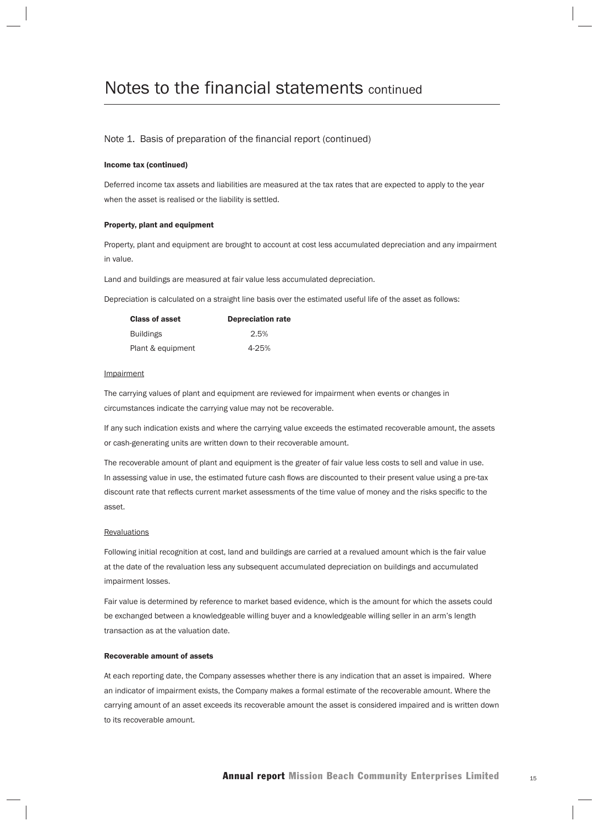#### Note 1. Basis of preparation of the financial report (continued)

#### Income tax (continued)

Deferred income tax assets and liabilities are measured at the tax rates that are expected to apply to the year when the asset is realised or the liability is settled.

#### Property, plant and equipment

Property, plant and equipment are brought to account at cost less accumulated depreciation and any impairment in value.

Land and buildings are measured at fair value less accumulated depreciation.

Depreciation is calculated on a straight line basis over the estimated useful life of the asset as follows:

| <b>Class of asset</b> | <b>Depreciation rate</b> |
|-----------------------|--------------------------|
| <b>Buildings</b>      | 2.5%                     |
| Plant & equipment     | 4-25%                    |

#### **Impairment**

The carrying values of plant and equipment are reviewed for impairment when events or changes in circumstances indicate the carrying value may not be recoverable.

If any such indication exists and where the carrying value exceeds the estimated recoverable amount, the assets or cash-generating units are written down to their recoverable amount.

The recoverable amount of plant and equipment is the greater of fair value less costs to sell and value in use. In assessing value in use, the estimated future cash flows are discounted to their present value using a pre-tax discount rate that reflects current market assessments of the time value of money and the risks specific to the asset.

#### **Revaluations**

Following initial recognition at cost, land and buildings are carried at a revalued amount which is the fair value at the date of the revaluation less any subsequent accumulated depreciation on buildings and accumulated impairment losses.

Fair value is determined by reference to market based evidence, which is the amount for which the assets could be exchanged between a knowledgeable willing buyer and a knowledgeable willing seller in an arm's length transaction as at the valuation date.

#### Recoverable amount of assets

At each reporting date, the Company assesses whether there is any indication that an asset is impaired. Where an indicator of impairment exists, the Company makes a formal estimate of the recoverable amount. Where the carrying amount of an asset exceeds its recoverable amount the asset is considered impaired and is written down to its recoverable amount.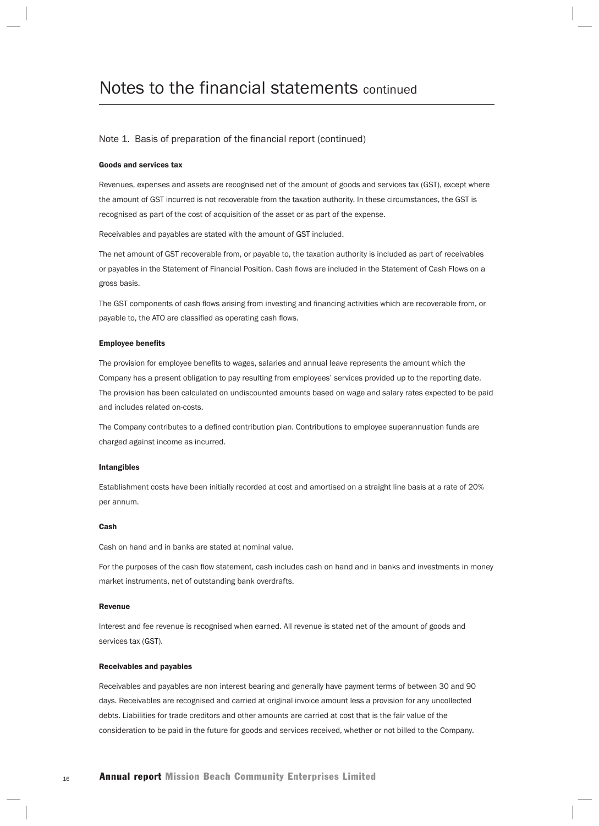#### Note 1. Basis of preparation of the financial report (continued)

#### Goods and services tax

Revenues, expenses and assets are recognised net of the amount of goods and services tax (GST), except where the amount of GST incurred is not recoverable from the taxation authority. In these circumstances, the GST is recognised as part of the cost of acquisition of the asset or as part of the expense.

Receivables and payables are stated with the amount of GST included.

The net amount of GST recoverable from, or payable to, the taxation authority is included as part of receivables or payables in the Statement of Financial Position. Cash flows are included in the Statement of Cash Flows on a gross basis.

The GST components of cash flows arising from investing and financing activities which are recoverable from, or payable to, the ATO are classified as operating cash flows.

#### **Employee benefits**

The provision for employee benefits to wages, salaries and annual leave represents the amount which the Company has a present obligation to pay resulting from employees' services provided up to the reporting date. The provision has been calculated on undiscounted amounts based on wage and salary rates expected to be paid and includes related on-costs.

The Company contributes to a defined contribution plan. Contributions to employee superannuation funds are charged against income as incurred.

#### Intangibles

Establishment costs have been initially recorded at cost and amortised on a straight line basis at a rate of 20% per annum.

#### Cash

Cash on hand and in banks are stated at nominal value.

For the purposes of the cash flow statement, cash includes cash on hand and in banks and investments in money market instruments, net of outstanding bank overdrafts.

#### Revenue

Interest and fee revenue is recognised when earned. All revenue is stated net of the amount of goods and services tax (GST).

#### Receivables and payables

Receivables and payables are non interest bearing and generally have payment terms of between 30 and 90 days. Receivables are recognised and carried at original invoice amount less a provision for any uncollected debts. Liabilities for trade creditors and other amounts are carried at cost that is the fair value of the consideration to be paid in the future for goods and services received, whether or not billed to the Company.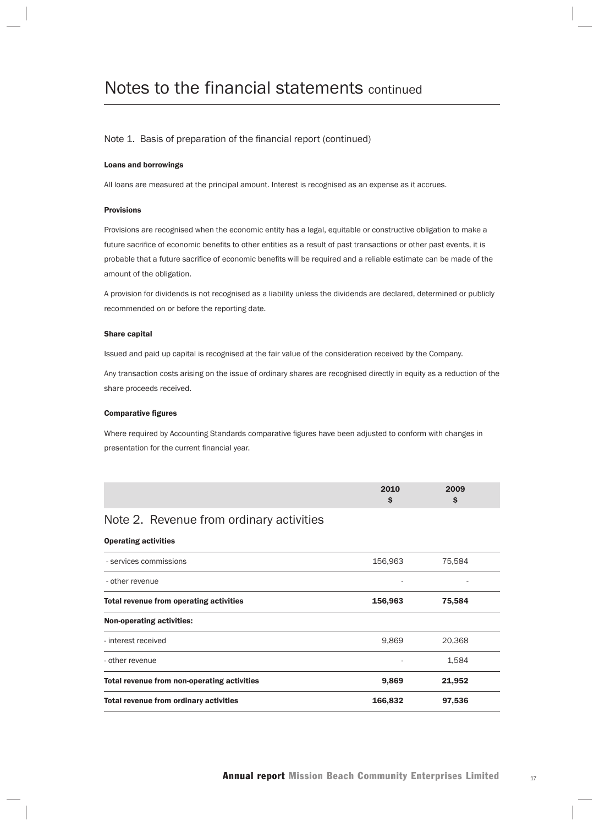#### Note 1. Basis of preparation of the financial report (continued)

#### Loans and borrowings

All loans are measured at the principal amount. Interest is recognised as an expense as it accrues.

#### Provisions

Provisions are recognised when the economic entity has a legal, equitable or constructive obligation to make a future sacrifice of economic benefits to other entities as a result of past transactions or other past events, it is probable that a future sacrifice of economic benefits will be required and a reliable estimate can be made of the amount of the obligation.

A provision for dividends is not recognised as a liability unless the dividends are declared, determined or publicly recommended on or before the reporting date.

#### Share capital

Issued and paid up capital is recognised at the fair value of the consideration received by the Company.

Any transaction costs arising on the issue of ordinary shares are recognised directly in equity as a reduction of the share proceeds received.

#### **Comparative figures**

Where required by Accounting Standards comparative figures have been adjusted to conform with changes in presentation for the current financial year.

| 2010 | 2009 |
|------|------|
|      |      |
|      |      |

#### Note 2. Revenue from ordinary activities

#### Operating activities

| 156,963 | 75,584 |  |
|---------|--------|--|
| ۰       |        |  |
| 156,963 | 75,584 |  |
|         |        |  |
| 9,869   | 20.368 |  |
|         | 1,584  |  |
| 9,869   | 21,952 |  |
| 166,832 | 97,536 |  |
|         |        |  |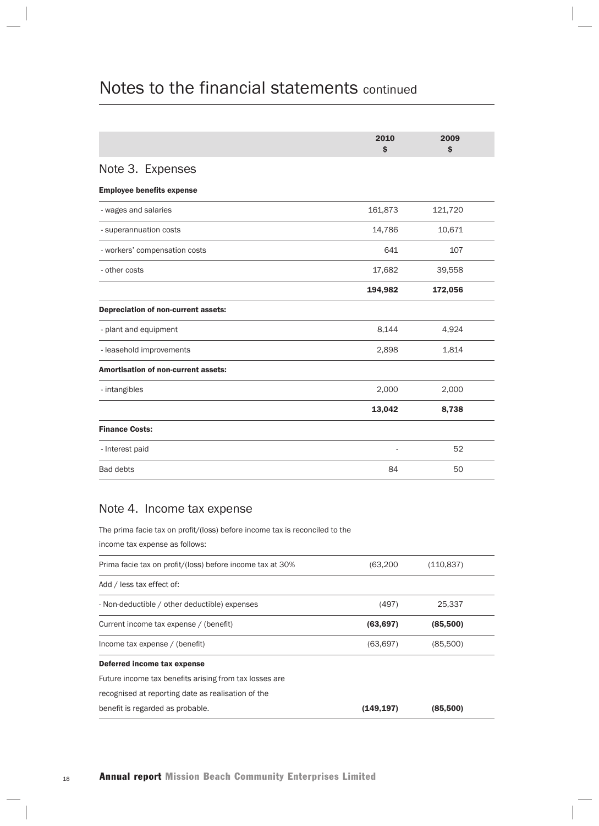|                                            | 2010<br>\$ | 2009<br>\$ |  |
|--------------------------------------------|------------|------------|--|
| Note 3. Expenses                           |            |            |  |
| <b>Employee benefits expense</b>           |            |            |  |
| - wages and salaries                       | 161,873    | 121,720    |  |
| - superannuation costs                     | 14,786     | 10,671     |  |
| - workers' compensation costs              | 641        | 107        |  |
| - other costs                              | 17,682     | 39,558     |  |
|                                            | 194,982    | 172,056    |  |
| Depreciation of non-current assets:        |            |            |  |
| - plant and equipment                      | 8,144      | 4,924      |  |
| - leasehold improvements                   | 2,898      | 1,814      |  |
| <b>Amortisation of non-current assets:</b> |            |            |  |
| - intangibles                              | 2,000      | 2,000      |  |
|                                            | 13,042     | 8,738      |  |
| <b>Finance Costs:</b>                      |            |            |  |
| - Interest paid                            |            | 52         |  |
| <b>Bad debts</b>                           | 84         | 50         |  |

#### Note 4. Income tax expense

The prima facie tax on profit/(loss) before income tax is reconciled to the

income tax expense as follows:

| Prima facie tax on profit/(loss) before income tax at 30% | (63, 200)  | (110, 837) |  |
|-----------------------------------------------------------|------------|------------|--|
| Add / less tax effect of:                                 |            |            |  |
| - Non-deductible / other deductible) expenses             | (497)      | 25,337     |  |
| Current income tax expense / (benefit)                    | (63, 697)  | (85,500)   |  |
| Income tax expense / (benefit)                            | (63, 697)  | (85,500)   |  |
| Deferred income tax expense                               |            |            |  |
| Future income tax benefits arising from tax losses are    |            |            |  |
| recognised at reporting date as realisation of the        |            |            |  |
| benefit is regarded as probable.                          | (149, 197) | (85,500)   |  |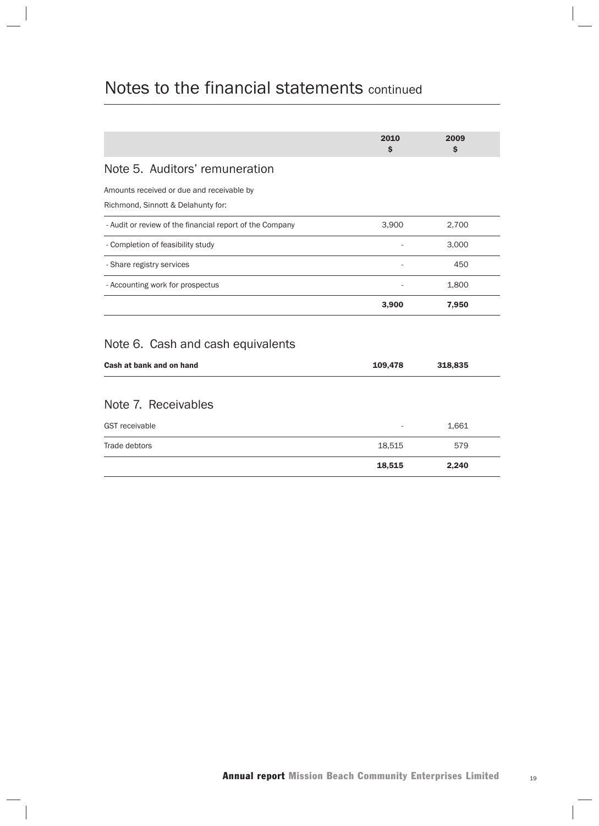|                                                                                 | 2010<br>\$ | 2009<br>\$ |
|---------------------------------------------------------------------------------|------------|------------|
| Note 5. Auditors' remuneration                                                  |            |            |
| Amounts received or due and receivable by<br>Richmond, Sinnott & Delahunty for: |            |            |
| - Audit or review of the financial report of the Company                        | 3,900      | 2,700      |
| - Completion of feasibility study                                               |            | 3,000      |
| - Share registry services                                                       |            | 450        |
| - Accounting work for prospectus                                                |            | 1,800      |
|                                                                                 | 3,900      | 7,950      |
| Note 6. Cash and cash equivalents                                               |            |            |
| Cash at bank and on hand                                                        | 109,478    | 318,835    |
| Note 7. Receivables                                                             |            |            |
| <b>GST</b> receivable                                                           |            | 1,661      |
| Trade debtors                                                                   | 18,515     | 579        |
|                                                                                 | 18,515     | 2,240      |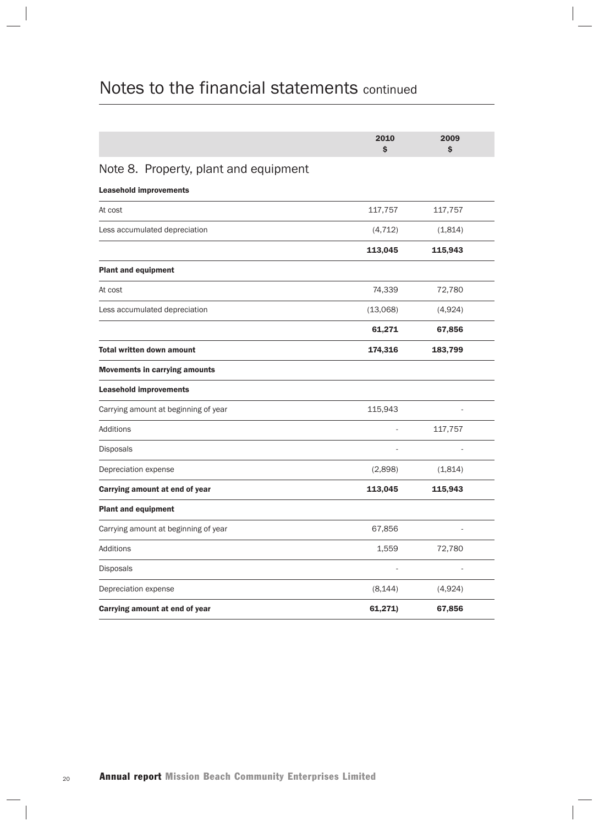|                                       | 2010<br>\$ | 2009<br>\$ |  |
|---------------------------------------|------------|------------|--|
| Note 8. Property, plant and equipment |            |            |  |
| <b>Leasehold improvements</b>         |            |            |  |
| At cost                               | 117,757    | 117,757    |  |
| Less accumulated depreciation         | (4, 712)   | (1,814)    |  |
|                                       | 113,045    | 115,943    |  |
| <b>Plant and equipment</b>            |            |            |  |
| At cost                               | 74,339     | 72,780     |  |
| Less accumulated depreciation         | (13,068)   | (4,924)    |  |
|                                       | 61,271     | 67,856     |  |
| <b>Total written down amount</b>      | 174,316    | 183,799    |  |
| <b>Movements in carrying amounts</b>  |            |            |  |
| <b>Leasehold improvements</b>         |            |            |  |
| Carrying amount at beginning of year  | 115,943    |            |  |
| Additions                             |            | 117,757    |  |
| Disposals                             |            |            |  |
| Depreciation expense                  | (2,898)    | (1,814)    |  |
| Carrying amount at end of year        | 113,045    | 115,943    |  |
| <b>Plant and equipment</b>            |            |            |  |
| Carrying amount at beginning of year  | 67,856     |            |  |
| Additions                             | 1,559      | 72,780     |  |
| Disposals                             |            |            |  |
| Depreciation expense                  | (8, 144)   | (4,924)    |  |
| Carrying amount at end of year        | 61,271)    | 67,856     |  |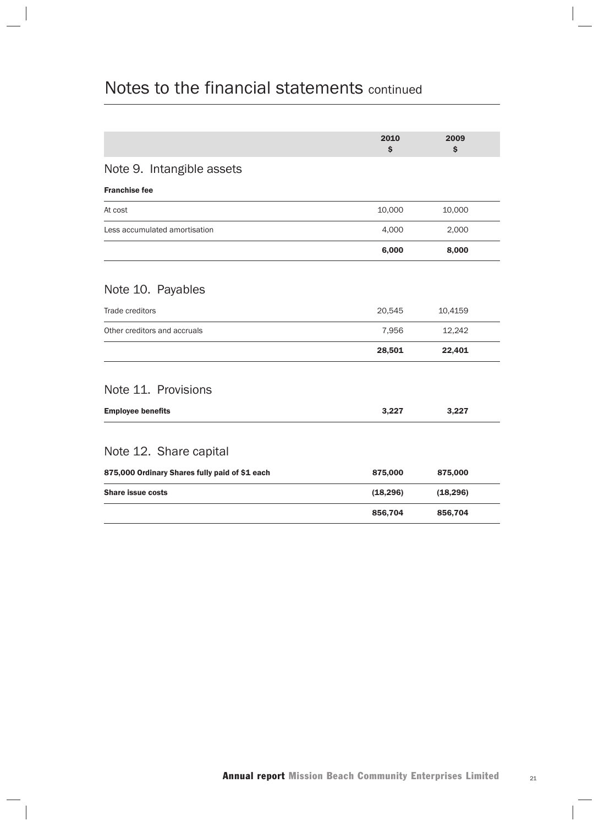|                                                | 2010<br>\$ | 2009<br>\$ |  |
|------------------------------------------------|------------|------------|--|
| Note 9. Intangible assets                      |            |            |  |
| <b>Franchise fee</b>                           |            |            |  |
| At cost                                        | 10,000     | 10,000     |  |
| Less accumulated amortisation                  | 4,000      | 2,000      |  |
|                                                | 6,000      | 8,000      |  |
| Note 10. Payables                              |            |            |  |
| Trade creditors                                | 20,545     | 10,4159    |  |
| Other creditors and accruals                   | 7,956      | 12,242     |  |
|                                                | 28,501     | 22,401     |  |
| Note 11. Provisions                            |            |            |  |
| <b>Employee benefits</b>                       | 3,227      | 3,227      |  |
| Note 12. Share capital                         |            |            |  |
| 875,000 Ordinary Shares fully paid of \$1 each | 875,000    | 875,000    |  |
| <b>Share issue costs</b>                       | (18, 296)  | (18, 296)  |  |
|                                                | 856,704    | 856,704    |  |
|                                                |            |            |  |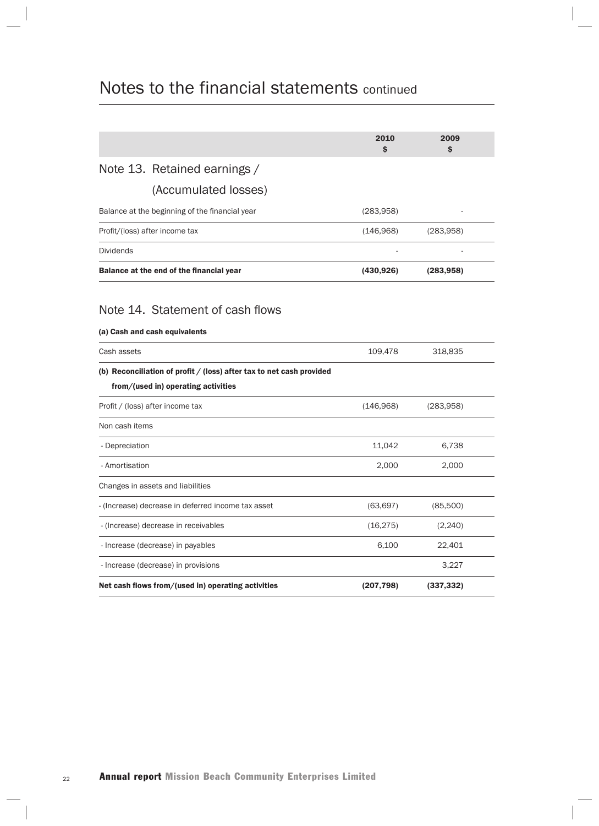|                  |                                                                                                             | 2010<br>Ś  | 2009<br>Ś  |  |
|------------------|-------------------------------------------------------------------------------------------------------------|------------|------------|--|
|                  | Note 13. Retained earnings /                                                                                |            |            |  |
|                  | (Accumulated losses)                                                                                        |            |            |  |
|                  | Balance at the beginning of the financial year                                                              | (283,958)  |            |  |
|                  | Profit/(loss) after income tax                                                                              | (146,968)  | (283,958)  |  |
| <b>Dividends</b> |                                                                                                             |            |            |  |
|                  | Balance at the end of the financial year                                                                    | (430, 926) | (283,958)  |  |
|                  | Note 14. Statement of cash flows<br>(a) Cash and cash equivalents                                           |            |            |  |
| Cash assets      |                                                                                                             | 109,478    | 318,835    |  |
|                  | (b) Reconciliation of profit / (loss) after tax to net cash provided<br>from/(used in) operating activities |            |            |  |
|                  | Profit / (loss) after income tax                                                                            | (146, 968) | (283,958)  |  |
| Non cash items   |                                                                                                             |            |            |  |
| - Depreciation   |                                                                                                             | 11,042     | 6,738      |  |
| - Amortisation   |                                                                                                             | 2,000      | 2,000      |  |
|                  | Changes in assets and liabilities                                                                           |            |            |  |
|                  | - (Increase) decrease in deferred income tax asset                                                          | (63, 697)  | (85,500)   |  |
|                  | - (Increase) decrease in receivables                                                                        | (16, 275)  | (2, 240)   |  |
|                  | - Increase (decrease) in payables                                                                           | 6,100      | 22,401     |  |
|                  | - Increase (decrease) in provisions                                                                         |            | 3,227      |  |
|                  | Net cash flows from/(used in) operating activities                                                          | (207, 798) | (337, 332) |  |
|                  |                                                                                                             |            |            |  |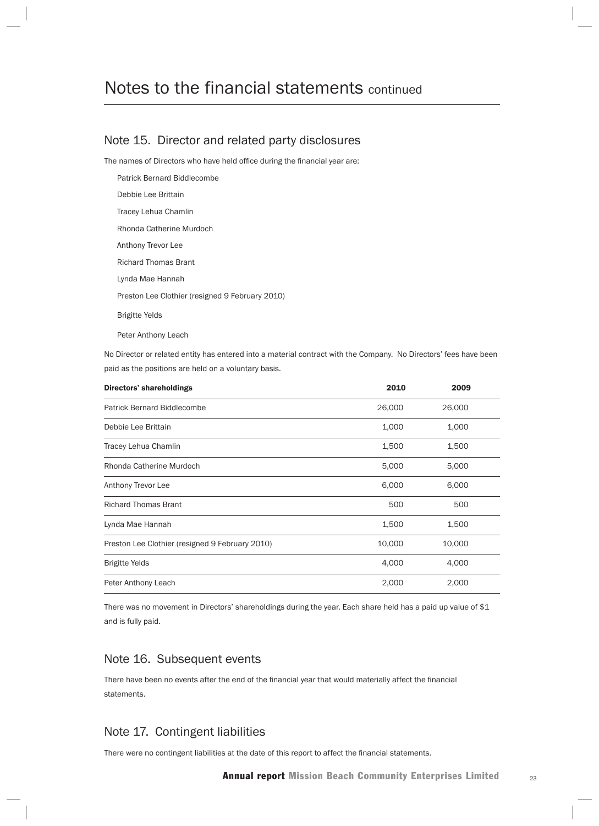#### Note 15. Director and related party disclosures

The names of Directors who have held office during the financial year are:

Patrick Bernard Biddlecombe Debbie Lee Brittain Tracey Lehua Chamlin Rhonda Catherine Murdoch Anthony Trevor Lee Richard Thomas Brant Lynda Mae Hannah Preston Lee Clothier (resigned 9 February 2010) Brigitte Yelds

Peter Anthony Leach

No Director or related entity has entered into a material contract with the Company. No Directors' fees have been paid as the positions are held on a voluntary basis.

| <b>Directors' shareholdings</b>                 | 2010   | 2009   |  |
|-------------------------------------------------|--------|--------|--|
| <b>Patrick Bernard Biddlecombe</b>              | 26,000 | 26,000 |  |
| Debbie Lee Brittain                             | 1,000  | 1,000  |  |
| Tracey Lehua Chamlin                            | 1,500  | 1,500  |  |
| Rhonda Catherine Murdoch                        | 5,000  | 5,000  |  |
| Anthony Trevor Lee                              | 6,000  | 6,000  |  |
| <b>Richard Thomas Brant</b>                     | 500    | 500    |  |
| Lynda Mae Hannah                                | 1,500  | 1,500  |  |
| Preston Lee Clothier (resigned 9 February 2010) | 10,000 | 10,000 |  |
| <b>Brigitte Yelds</b>                           | 4,000  | 4,000  |  |
| Peter Anthony Leach                             | 2,000  | 2,000  |  |

There was no movement in Directors' shareholdings during the year. Each share held has a paid up value of \$1 and is fully paid.

#### Note 16. Subsequent events

There have been no events after the end of the financial year that would materially affect the financial statements.

#### Note 17. Contingent liabilities

There were no contingent liabilities at the date of this report to affect the financial statements.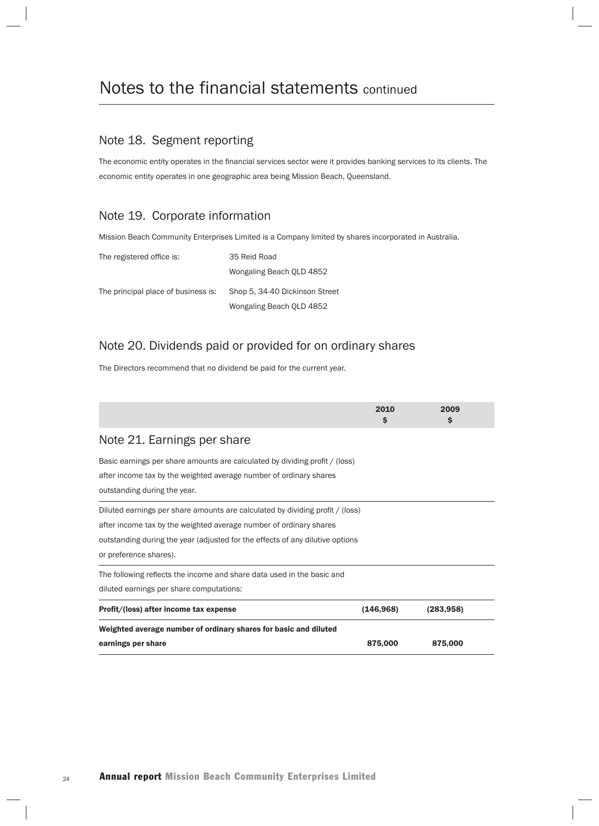#### Note 18. Segment reporting

The economic entity operates in the financial services sector were it provides banking services to its clients. The economic entity operates in one geographic area being Mission Beach, Queensland.

#### Note 19. Corporate information

Mission Beach Community Enterprises Limited is a Company limited by shares incorporated in Australia.

| The registered office is:           | 35 Reid Road                   |
|-------------------------------------|--------------------------------|
|                                     | Wongaling Beach OLD 4852       |
| The principal place of business is: | Shop 5, 34-40 Dickinson Street |
|                                     | Wongaling Beach QLD 4852       |

#### Note 20. Dividends paid or provided for on ordinary shares

The Directors recommend that no dividend be paid for the current year.

|                                                                                                                                                                                                                                                                | 2010<br>S  | 2009<br>Ŝ  |  |
|----------------------------------------------------------------------------------------------------------------------------------------------------------------------------------------------------------------------------------------------------------------|------------|------------|--|
| Note 21. Earnings per share                                                                                                                                                                                                                                    |            |            |  |
| Basic earnings per share amounts are calculated by dividing profit / (loss)<br>after income tax by the weighted average number of ordinary shares<br>outstanding during the year.                                                                              |            |            |  |
| Diluted earnings per share amounts are calculated by dividing profit / (loss)<br>after income tax by the weighted average number of ordinary shares<br>outstanding during the year (adjusted for the effects of any dilutive options<br>or preference shares). |            |            |  |
| The following reflects the income and share data used in the basic and<br>diluted earnings per share computations:                                                                                                                                             |            |            |  |
| Profit/(loss) after income tax expense                                                                                                                                                                                                                         | (146, 968) | (283, 958) |  |
| Weighted average number of ordinary shares for basic and diluted<br>earnings per share                                                                                                                                                                         | 875,000    | 875,000    |  |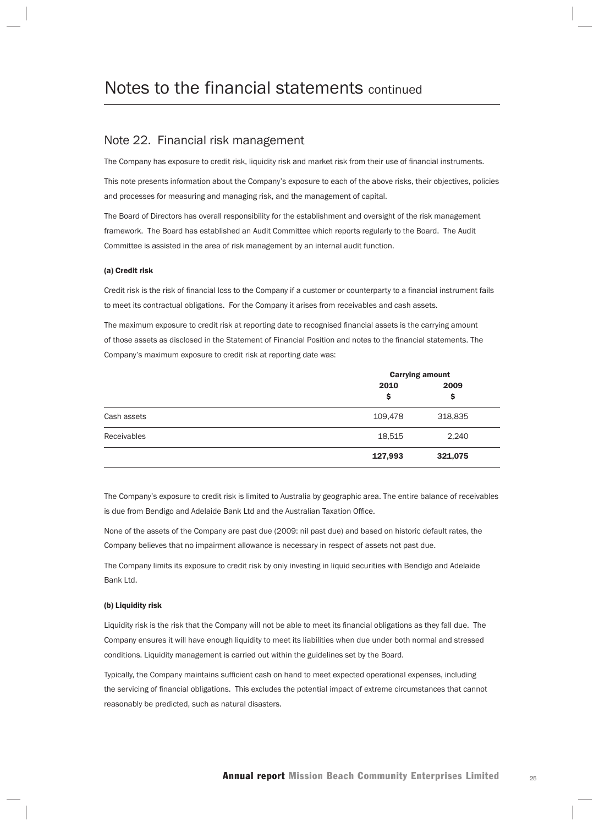#### Note 22. Financial risk management

The Company has exposure to credit risk, liquidity risk and market risk from their use of financial instruments.

This note presents information about the Company's exposure to each of the above risks, their objectives, policies and processes for measuring and managing risk, and the management of capital.

The Board of Directors has overall responsibility for the establishment and oversight of the risk management framework. The Board has established an Audit Committee which reports regularly to the Board. The Audit Committee is assisted in the area of risk management by an internal audit function.

#### (a) Credit risk

Credit risk is the risk of financial loss to the Company if a customer or counterparty to a financial instrument fails to meet its contractual obligations. For the Company it arises from receivables and cash assets.

The maximum exposure to credit risk at reporting date to recognised financial assets is the carrying amount of those assets as disclosed in the Statement of Financial Position and notes to the financial statements. The Company's maximum exposure to credit risk at reporting date was:

|                    | <b>Carrying amount</b> |            |  |
|--------------------|------------------------|------------|--|
|                    | 2010<br>\$             | 2009<br>\$ |  |
| Cash assets        | 109,478                | 318,835    |  |
| <b>Receivables</b> | 18,515                 | 2,240      |  |
|                    | 127,993                | 321,075    |  |

The Company's exposure to credit risk is limited to Australia by geographic area. The entire balance of receivables is due from Bendigo and Adelaide Bank Ltd and the Australian Taxation Office.

None of the assets of the Company are past due (2009: nil past due) and based on historic default rates, the Company believes that no impairment allowance is necessary in respect of assets not past due.

The Company limits its exposure to credit risk by only investing in liquid securities with Bendigo and Adelaide Bank Ltd.

#### (b) Liquidity risk

Liquidity risk is the risk that the Company will not be able to meet its financial obligations as they fall due. The Company ensures it will have enough liquidity to meet its liabilities when due under both normal and stressed conditions. Liquidity management is carried out within the guidelines set by the Board.

Typically, the Company maintains sufficient cash on hand to meet expected operational expenses, including the servicing of financial obligations. This excludes the potential impact of extreme circumstances that cannot reasonably be predicted, such as natural disasters.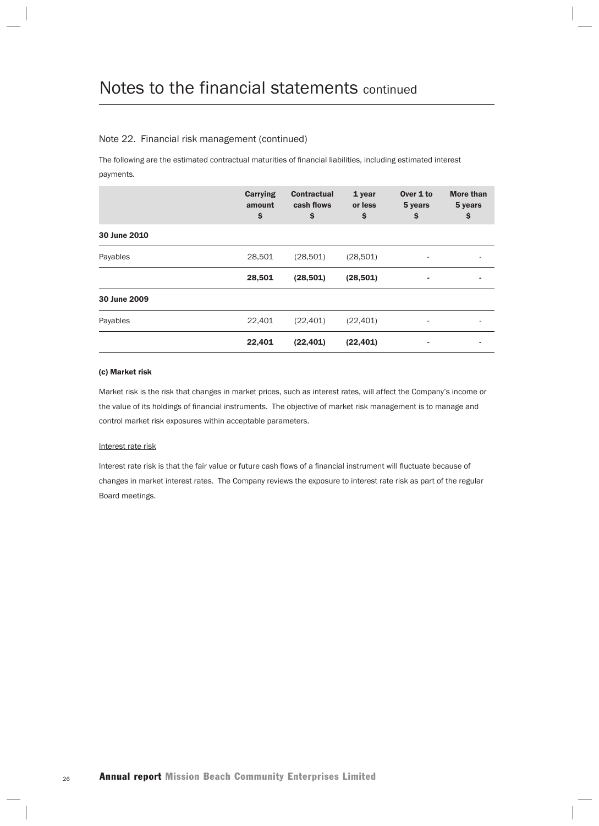#### Note 22. Financial risk management (continued)

The following are the estimated contractual maturities of financial liabilities, including estimated interest payments.

|              | Carrying<br>amount<br>\$ | <b>Contractual</b><br>cash flows<br>\$ | 1 year<br>or less<br>\$ | Over 1 to<br>5 years<br>\$ | <b>More than</b><br>5 years<br>\$ |
|--------------|--------------------------|----------------------------------------|-------------------------|----------------------------|-----------------------------------|
| 30 June 2010 |                          |                                        |                         |                            |                                   |
| Payables     | 28,501                   | (28, 501)                              | (28, 501)               | ٠                          |                                   |
|              | 28,501                   | (28, 501)                              | (28, 501)               |                            |                                   |
| 30 June 2009 |                          |                                        |                         |                            |                                   |
| Payables     | 22,401                   | (22, 401)                              | (22, 401)               | $\overline{\phantom{a}}$   |                                   |
|              | 22,401                   | (22, 401)                              | (22, 401)               |                            |                                   |

#### (c) Market risk

Market risk is the risk that changes in market prices, such as interest rates, will affect the Company's income or the value of its holdings of financial instruments. The objective of market risk management is to manage and control market risk exposures within acceptable parameters.

#### Interest rate risk

Interest rate risk is that the fair value or future cash flows of a financial instrument will fluctuate because of changes in market interest rates. The Company reviews the exposure to interest rate risk as part of the regular Board meetings.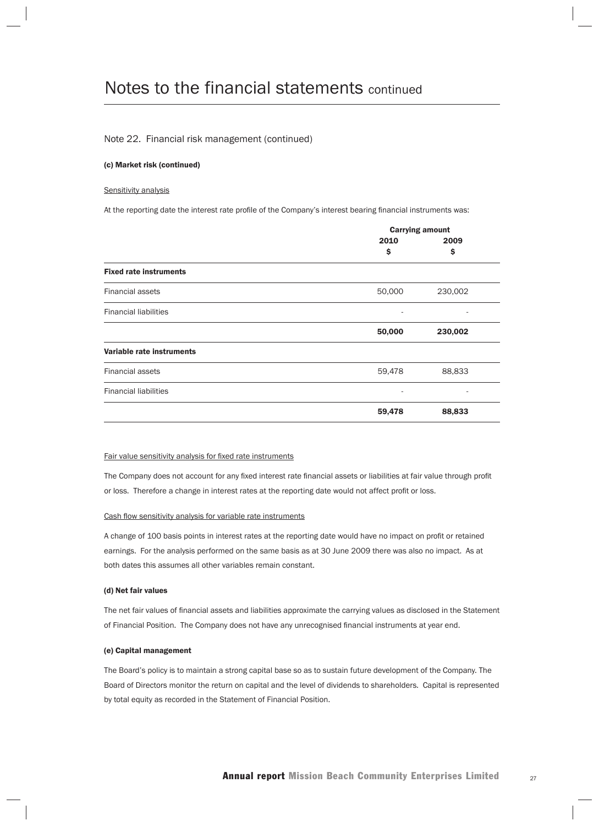#### Note 22. Financial risk management (continued)

#### (c) Market risk (continued)

#### Sensitivity analysis

At the reporting date the interest rate profile of the Company's interest bearing financial instruments was:

|                               | <b>Carrying amount</b> |         |  |
|-------------------------------|------------------------|---------|--|
|                               | 2010                   | 2009    |  |
|                               | \$                     | \$      |  |
| <b>Fixed rate instruments</b> |                        |         |  |
| <b>Financial assets</b>       | 50,000                 | 230,002 |  |
| <b>Financial liabilities</b>  | ۰                      |         |  |
|                               | 50,000                 | 230,002 |  |
| Variable rate instruments     |                        |         |  |
| <b>Financial assets</b>       | 59,478                 | 88,833  |  |
| <b>Financial liabilities</b>  | ۰                      |         |  |
|                               | 59,478                 | 88,833  |  |

#### Fair value sensitivity analysis for fixed rate instruments

The Company does not account for any fixed interest rate financial assets or liabilities at fair value through profit or loss. Therefore a change in interest rates at the reporting date would not affect profit or loss.

#### Cash flow sensitivity analysis for variable rate instruments

A change of 100 basis points in interest rates at the reporting date would have no impact on profit or retained earnings. For the analysis performed on the same basis as at 30 June 2009 there was also no impact. As at both dates this assumes all other variables remain constant.

#### (d) Net fair values

The net fair values of financial assets and liabilities approximate the carrying values as disclosed in the Statement of Financial Position. The Company does not have any unrecognised financial instruments at year end.

#### (e) Capital management

The Board's policy is to maintain a strong capital base so as to sustain future development of the Company. The Board of Directors monitor the return on capital and the level of dividends to shareholders. Capital is represented by total equity as recorded in the Statement of Financial Position.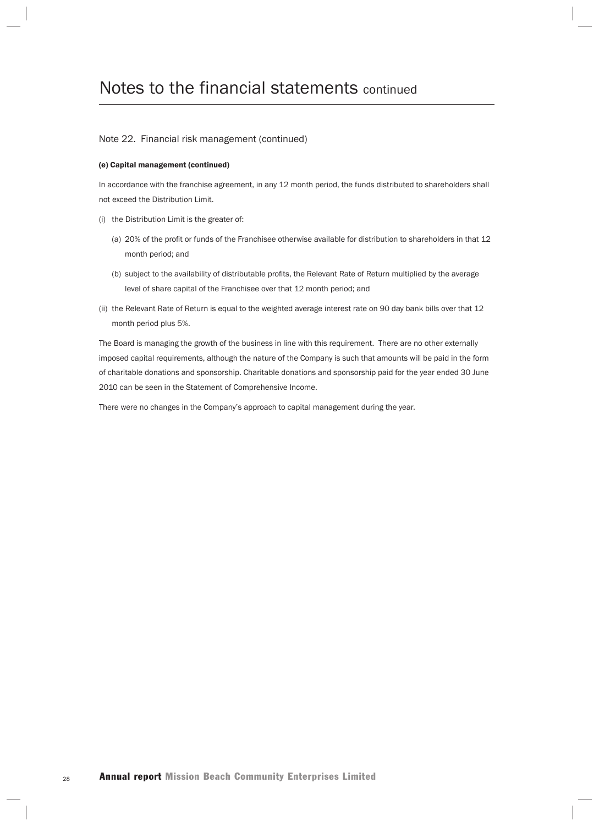#### Note 22. Financial risk management (continued)

#### (e) Capital management (continued)

In accordance with the franchise agreement, in any 12 month period, the funds distributed to shareholders shall not exceed the Distribution Limit.

- (i) the Distribution Limit is the greater of:
	- (a) 20% of the profit or funds of the Franchisee otherwise available for distribution to shareholders in that 12 month period; and
	- (b) subject to the availability of distributable profits, the Relevant Rate of Return multiplied by the average level of share capital of the Franchisee over that 12 month period; and
- (ii) the Relevant Rate of Return is equal to the weighted average interest rate on 90 day bank bills over that 12 month period plus 5%.

The Board is managing the growth of the business in line with this requirement. There are no other externally imposed capital requirements, although the nature of the Company is such that amounts will be paid in the form of charitable donations and sponsorship. Charitable donations and sponsorship paid for the year ended 30 June 2010 can be seen in the Statement of Comprehensive Income.

There were no changes in the Company's approach to capital management during the year.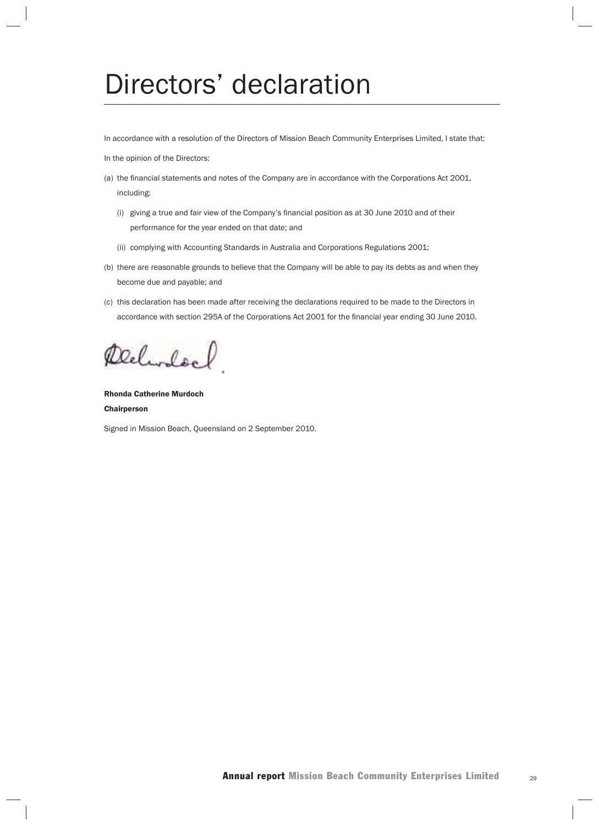## Directors' declaration

In accordance with a resolution of the Directors of Mission Beach Community Enterprises Limited, I state that:

In the opinion of the Directors:

- (a) the financial statements and notes of the Company are in accordance with the Corporations Act 2001, including:
	- (i) giving a true and fair view of the Company's financial position as at 30 June 2010 and of their performance for the year ended on that date; and
	- (ii) complying with Accounting Standards in Australia and Corporations Regulations 2001;
- (b) there are reasonable grounds to believe that the Company will be able to pay its debts as and when they become due and payable; and
- (c) this declaration has been made after receiving the declarations required to be made to the Directors in accordance with section 295A of the Corporations Act 2001 for the financial year ending 30 June 2010.

Delivoldel

Rhonda Catherine Murdoch Chairperson

Signed in Mission Beach, Queensland on 2 September 2010.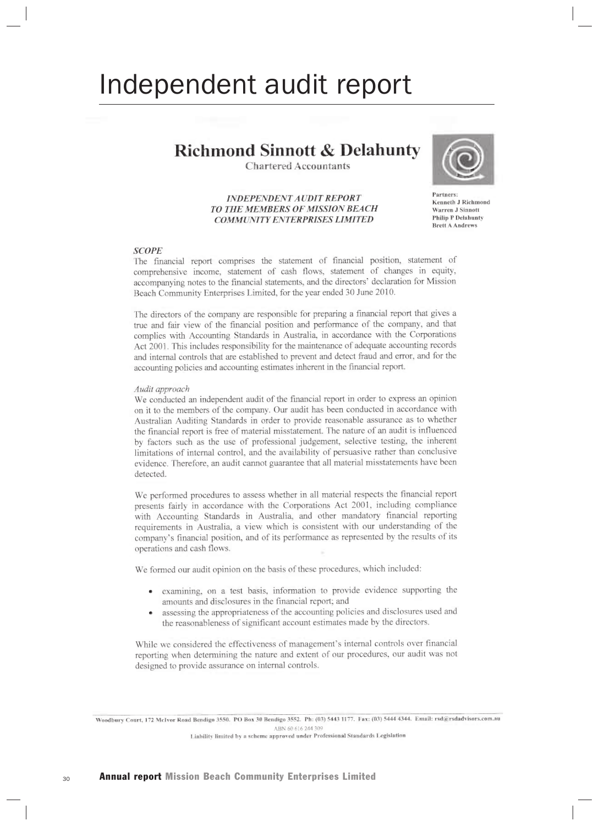## Independent audit report

### **Richmond Sinnott & Delahunty**

**Chartered Accountants** 

#### **INDEPENDENT AUDIT REPORT** TO THE MEMBERS OF MISSION BEACH **COMMUNITY ENTERPRISES LIMITED**



Partners: Kenneth J Richmond **Warren J Sinnott Philip P Delahunty Brett A Andrews** 

#### **SCOPE**

The financial report comprises the statement of financial position, statement of comprehensive income, statement of cash flows, statement of changes in equity, accompanying notes to the financial statements, and the directors' declaration for Mission Beach Community Enterprises Limited, for the year ended 30 June 2010.

The directors of the company are responsible for preparing a financial report that gives a true and fair view of the financial position and performance of the company, and that complies with Accounting Standards in Australia, in accordance with the Corporations Act 2001. This includes responsibility for the maintenance of adequate accounting records and internal controls that are established to prevent and detect fraud and error, and for the accounting policies and accounting estimates inherent in the financial report.

#### Audit approach

We conducted an independent audit of the financial report in order to express an opinion on it to the members of the company. Our audit has been conducted in accordance with Australian Auditing Standards in order to provide reasonable assurance as to whether the financial report is free of material misstatement. The nature of an audit is influenced by factors such as the use of professional judgement, selective testing, the inherent limitations of internal control, and the availability of persuasive rather than conclusive evidence. Therefore, an audit cannot guarantee that all material misstatements have been detected.

We performed procedures to assess whether in all material respects the financial report presents fairly in accordance with the Corporations Act 2001, including compliance with Accounting Standards in Australia, and other mandatory financial reporting requirements in Australia, a view which is consistent with our understanding of the company's financial position, and of its performance as represented by the results of its operations and cash flows.

We formed our audit opinion on the basis of these procedures, which included:

- examining, on a test basis, information to provide evidence supporting the amounts and disclosures in the financial report; and
- assessing the appropriateness of the accounting policies and disclosures used and the reasonableness of significant account estimates made by the directors.

While we considered the effectiveness of management's internal controls over financial reporting when determining the nature and extent of our procedures, our audit was not designed to provide assurance on internal controls.

Woodbury Court, 172 McIvor Road Bendigo 3550. PO Box 30 Bendigo 3552. Ph: (03) 5443 1177. Fax: (03) 5444 4344. Email: rsd@rsdadvisors.com.au ABN 60 616 244 309 Liability limited by a scheme approved under Professional Standards Legislation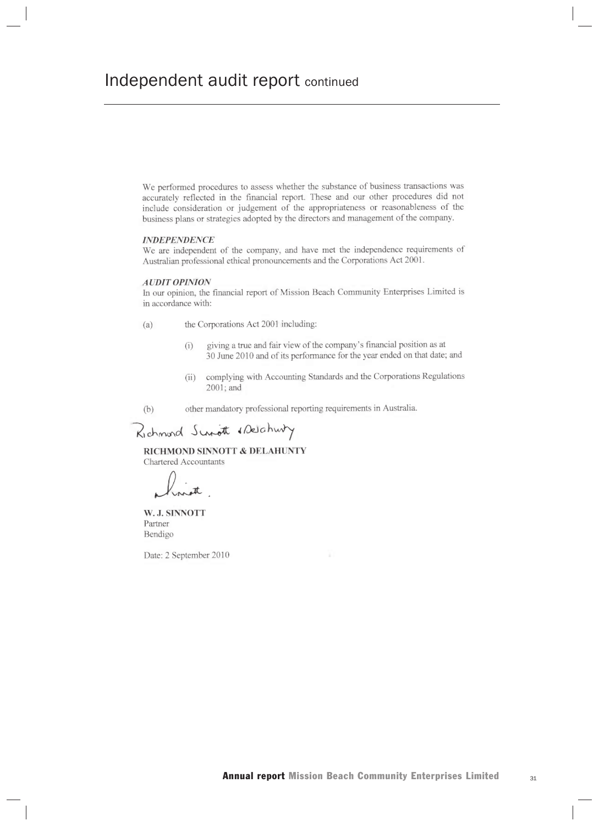We performed procedures to assess whether the substance of business transactions was accurately reflected in the financial report. These and our other procedures did not include consideration or judgement of the appropriateness or reasonableness of the business plans or strategies adopted by the directors and management of the company.

#### **INDEPENDENCE**

We are independent of the company, and have met the independence requirements of Australian professional ethical pronouncements and the Corporations Act 2001.

#### **AUDIT OPINION**

In our opinion, the financial report of Mission Beach Community Enterprises Limited is in accordance with:

- the Corporations Act 2001 including:  $(a)$ 
	- giving a true and fair view of the company's financial position as at  $(i)$ 30 June 2010 and of its performance for the year ended on that date; and
	- $(ii)$ complying with Accounting Standards and the Corporations Regulations 2001; and
- other mandatory professional reporting requirements in Australia.  $(b)$

Richmond Survot & Deschwitz

RICHMOND SINNOTT & DELAHUNTY **Chartered Accountants** 

W. J. SINNOTT Partner Bendigo

Date: 2 September 2010